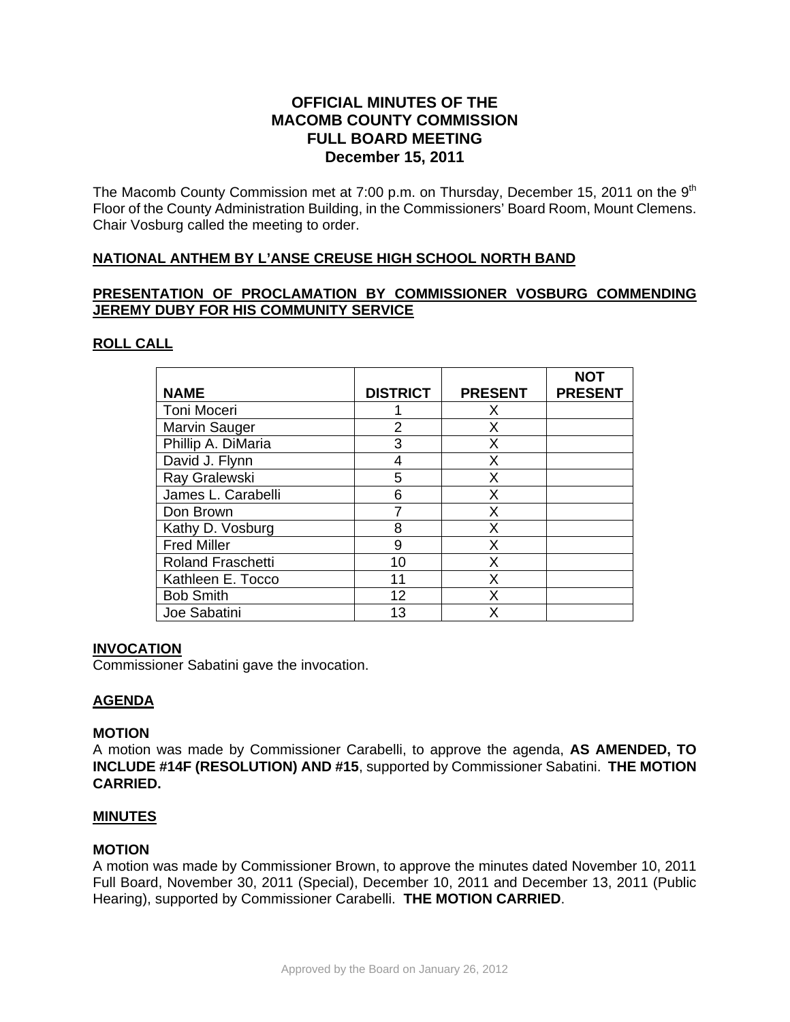# **OFFICIAL MINUTES OF THE MACOMB COUNTY COMMISSION FULL BOARD MEETING December 15, 2011**

The Macomb County Commission met at 7:00 p.m. on Thursday, December 15, 2011 on the 9<sup>th</sup> Floor of the County Administration Building, in the Commissioners' Board Room, Mount Clemens. Chair Vosburg called the meeting to order.

## **NATIONAL ANTHEM BY L'ANSE CREUSE HIGH SCHOOL NORTH BAND**

## **PRESENTATION OF PROCLAMATION BY COMMISSIONER VOSBURG COMMENDING JEREMY DUBY FOR HIS COMMUNITY SERVICE**

### **ROLL CALL**

| <b>NAME</b>              | <b>DISTRICT</b> | <b>PRESENT</b> | <b>NOT</b><br><b>PRESENT</b> |
|--------------------------|-----------------|----------------|------------------------------|
| Toni Moceri              |                 | Х              |                              |
| <b>Marvin Sauger</b>     | 2               | X              |                              |
| Phillip A. DiMaria       | 3               | X              |                              |
| David J. Flynn           | 4               | Х              |                              |
| Ray Gralewski            | 5               | x              |                              |
| James L. Carabelli       | 6               | x              |                              |
| Don Brown                |                 | X              |                              |
| Kathy D. Vosburg         | 8               | x              |                              |
| <b>Fred Miller</b>       | 9               | Χ              |                              |
| <b>Roland Fraschetti</b> | 10              | x              |                              |
| Kathleen E. Tocco        | 11              | х              |                              |
| <b>Bob Smith</b>         | 12              | x              |                              |
| Joe Sabatini             | 13              |                |                              |

#### **INVOCATION**

Commissioner Sabatini gave the invocation.

## **AGENDA**

#### **MOTION**

A motion was made by Commissioner Carabelli, to approve the agenda, **AS AMENDED, TO INCLUDE #14F (RESOLUTION) AND #15**, supported by Commissioner Sabatini. **THE MOTION CARRIED.** 

#### **MINUTES**

#### **MOTION**

A motion was made by Commissioner Brown, to approve the minutes dated November 10, 2011 Full Board, November 30, 2011 (Special), December 10, 2011 and December 13, 2011 (Public Hearing), supported by Commissioner Carabelli. **THE MOTION CARRIED**.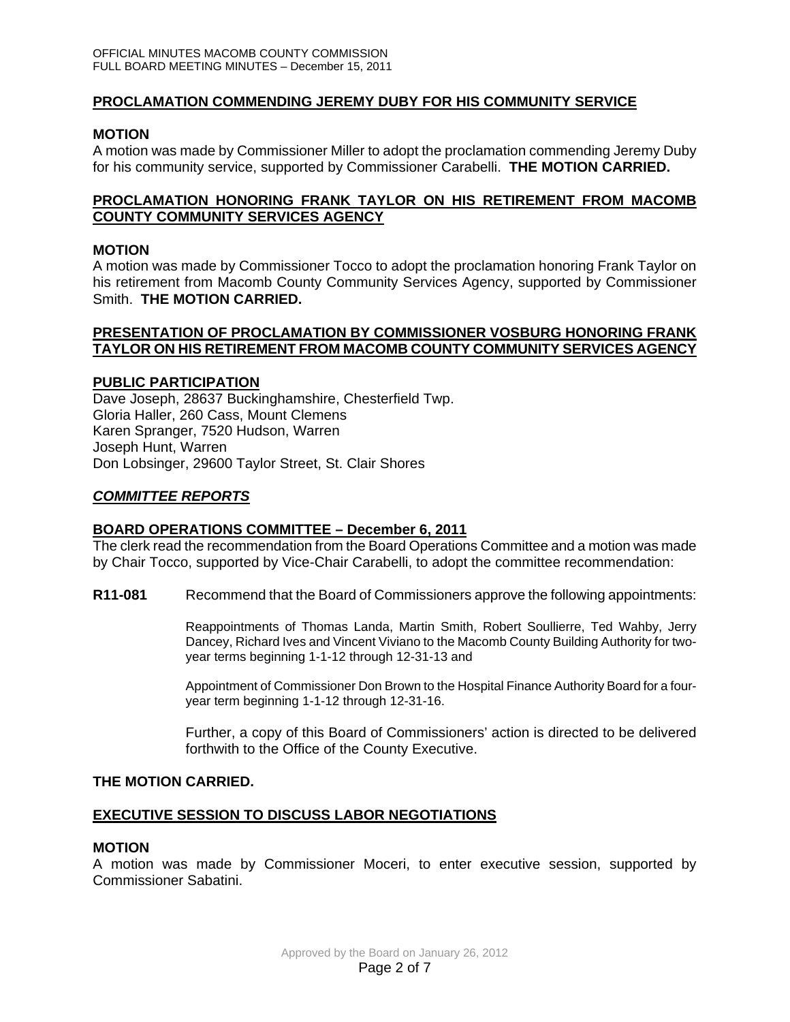### **PROCLAMATION COMMENDING JEREMY DUBY FOR HIS COMMUNITY SERVICE**

#### **MOTION**

A motion was made by Commissioner Miller to adopt the proclamation commending Jeremy Duby for his community service, supported by Commissioner Carabelli. **THE MOTION CARRIED.** 

### **PROCLAMATION HONORING FRANK TAYLOR ON HIS RETIREMENT FROM MACOMB COUNTY COMMUNITY SERVICES AGENCY**

### **MOTION**

A motion was made by Commissioner Tocco to adopt the proclamation honoring Frank Taylor on his retirement from Macomb County Community Services Agency, supported by Commissioner Smith. **THE MOTION CARRIED.** 

#### **PRESENTATION OF PROCLAMATION BY COMMISSIONER VOSBURG HONORING FRANK TAYLOR ON HIS RETIREMENT FROM MACOMB COUNTY COMMUNITY SERVICES AGENCY**

#### **PUBLIC PARTICIPATION**

Dave Joseph, 28637 Buckinghamshire, Chesterfield Twp. Gloria Haller, 260 Cass, Mount Clemens Karen Spranger, 7520 Hudson, Warren Joseph Hunt, Warren Don Lobsinger, 29600 Taylor Street, St. Clair Shores

## *COMMITTEE REPORTS*

#### **BOARD OPERATIONS COMMITTEE – December 6, 2011**

The clerk read the recommendation from the Board Operations Committee and a motion was made by Chair Tocco, supported by Vice-Chair Carabelli, to adopt the committee recommendation:

**R11-081** Recommend that the Board of Commissioners approve the following appointments:

Reappointments of Thomas Landa, Martin Smith, Robert Soullierre, Ted Wahby, Jerry Dancey, Richard Ives and Vincent Viviano to the Macomb County Building Authority for twoyear terms beginning 1-1-12 through 12-31-13 and

Appointment of Commissioner Don Brown to the Hospital Finance Authority Board for a fouryear term beginning 1-1-12 through 12-31-16.

Further, a copy of this Board of Commissioners' action is directed to be delivered forthwith to the Office of the County Executive.

#### **THE MOTION CARRIED.**

## **EXECUTIVE SESSION TO DISCUSS LABOR NEGOTIATIONS**

#### **MOTION**

A motion was made by Commissioner Moceri, to enter executive session, supported by Commissioner Sabatini.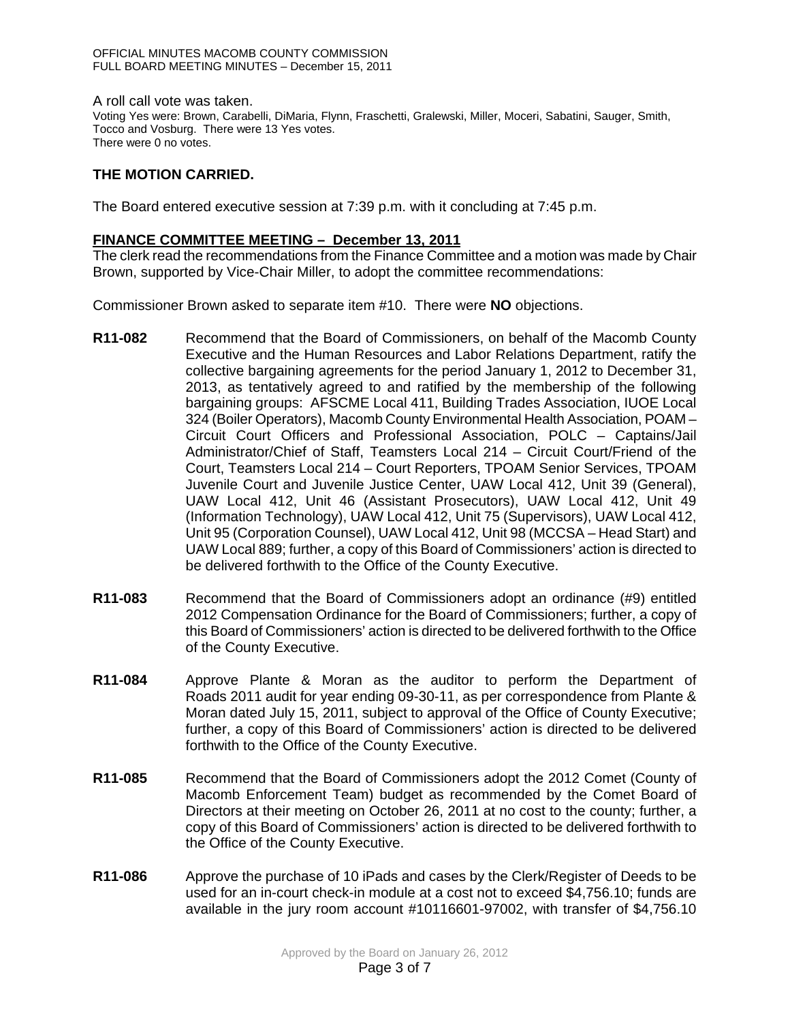A roll call vote was taken. Voting Yes were: Brown, Carabelli, DiMaria, Flynn, Fraschetti, Gralewski, Miller, Moceri, Sabatini, Sauger, Smith, Tocco and Vosburg. There were 13 Yes votes. There were 0 no votes.

# **THE MOTION CARRIED.**

The Board entered executive session at 7:39 p.m. with it concluding at 7:45 p.m.

### **FINANCE COMMITTEE MEETING – December 13, 2011**

The clerk read the recommendations from the Finance Committee and a motion was made by Chair Brown, supported by Vice-Chair Miller, to adopt the committee recommendations:

Commissioner Brown asked to separate item #10. There were **NO** objections.

- **R11-082** Recommend that the Board of Commissioners, on behalf of the Macomb County Executive and the Human Resources and Labor Relations Department, ratify the collective bargaining agreements for the period January 1, 2012 to December 31, 2013, as tentatively agreed to and ratified by the membership of the following bargaining groups: AFSCME Local 411, Building Trades Association, IUOE Local 324 (Boiler Operators), Macomb County Environmental Health Association, POAM – Circuit Court Officers and Professional Association, POLC – Captains/Jail Administrator/Chief of Staff, Teamsters Local 214 – Circuit Court/Friend of the Court, Teamsters Local 214 – Court Reporters, TPOAM Senior Services, TPOAM Juvenile Court and Juvenile Justice Center, UAW Local 412, Unit 39 (General), UAW Local 412, Unit 46 (Assistant Prosecutors), UAW Local 412, Unit 49 (Information Technology), UAW Local 412, Unit 75 (Supervisors), UAW Local 412, Unit 95 (Corporation Counsel), UAW Local 412, Unit 98 (MCCSA – Head Start) and UAW Local 889; further, a copy of this Board of Commissioners' action is directed to be delivered forthwith to the Office of the County Executive.
- **R11-083** Recommend that the Board of Commissioners adopt an ordinance (#9) entitled 2012 Compensation Ordinance for the Board of Commissioners; further, a copy of this Board of Commissioners' action is directed to be delivered forthwith to the Office of the County Executive.
- **R11-084** Approve Plante & Moran as the auditor to perform the Department of Roads 2011 audit for year ending 09-30-11, as per correspondence from Plante & Moran dated July 15, 2011, subject to approval of the Office of County Executive; further, a copy of this Board of Commissioners' action is directed to be delivered forthwith to the Office of the County Executive.
- **R11-085** Recommend that the Board of Commissioners adopt the 2012 Comet (County of Macomb Enforcement Team) budget as recommended by the Comet Board of Directors at their meeting on October 26, 2011 at no cost to the county; further, a copy of this Board of Commissioners' action is directed to be delivered forthwith to the Office of the County Executive.
- **R11-086** Approve the purchase of 10 iPads and cases by the Clerk/Register of Deeds to be used for an in-court check-in module at a cost not to exceed \$4,756.10; funds are available in the jury room account #10116601-97002, with transfer of \$4,756.10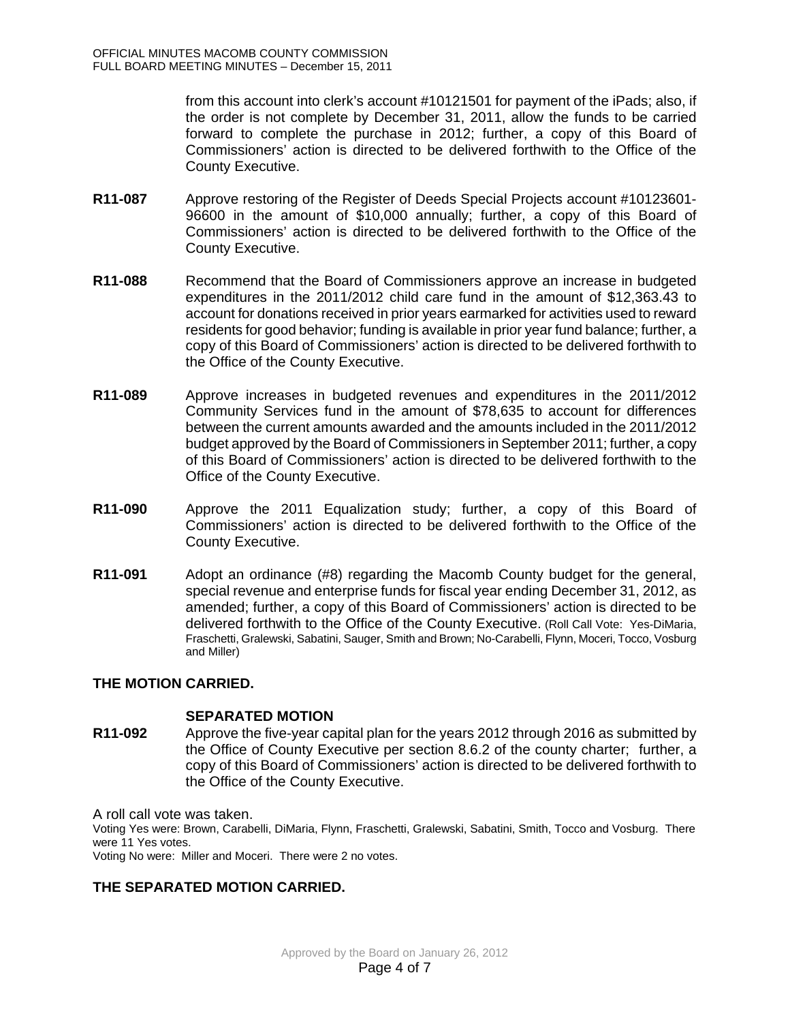from this account into clerk's account #10121501 for payment of the iPads; also, if the order is not complete by December 31, 2011, allow the funds to be carried forward to complete the purchase in 2012; further, a copy of this Board of Commissioners' action is directed to be delivered forthwith to the Office of the County Executive.

- **R11-087** Approve restoring of the Register of Deeds Special Projects account #10123601- 96600 in the amount of \$10,000 annually; further, a copy of this Board of Commissioners' action is directed to be delivered forthwith to the Office of the County Executive.
- **R11-088** Recommend that the Board of Commissioners approve an increase in budgeted expenditures in the 2011/2012 child care fund in the amount of \$12,363.43 to account for donations received in prior years earmarked for activities used to reward residents for good behavior; funding is available in prior year fund balance; further, a copy of this Board of Commissioners' action is directed to be delivered forthwith to the Office of the County Executive.
- **R11-089** Approve increases in budgeted revenues and expenditures in the 2011/2012 Community Services fund in the amount of \$78,635 to account for differences between the current amounts awarded and the amounts included in the 2011/2012 budget approved by the Board of Commissioners in September 2011; further, a copy of this Board of Commissioners' action is directed to be delivered forthwith to the Office of the County Executive.
- **R11-090** Approve the 2011 Equalization study; further, a copy of this Board of Commissioners' action is directed to be delivered forthwith to the Office of the County Executive.
- **R11-091** Adopt an ordinance (#8) regarding the Macomb County budget for the general, special revenue and enterprise funds for fiscal year ending December 31, 2012, as amended; further, a copy of this Board of Commissioners' action is directed to be delivered forthwith to the Office of the County Executive. (Roll Call Vote: Yes-DiMaria, Fraschetti, Gralewski, Sabatini, Sauger, Smith and Brown; No-Carabelli, Flynn, Moceri, Tocco, Vosburg and Miller)

## **THE MOTION CARRIED.**

#### **SEPARATED MOTION**

**R11-092** Approve the five-year capital plan for the years 2012 through 2016 as submitted by the Office of County Executive per section 8.6.2 of the county charter; further, a copy of this Board of Commissioners' action is directed to be delivered forthwith to the Office of the County Executive.

A roll call vote was taken.

Voting Yes were: Brown, Carabelli, DiMaria, Flynn, Fraschetti, Gralewski, Sabatini, Smith, Tocco and Vosburg. There were 11 Yes votes.

Voting No were: Miller and Moceri. There were 2 no votes.

# **THE SEPARATED MOTION CARRIED.**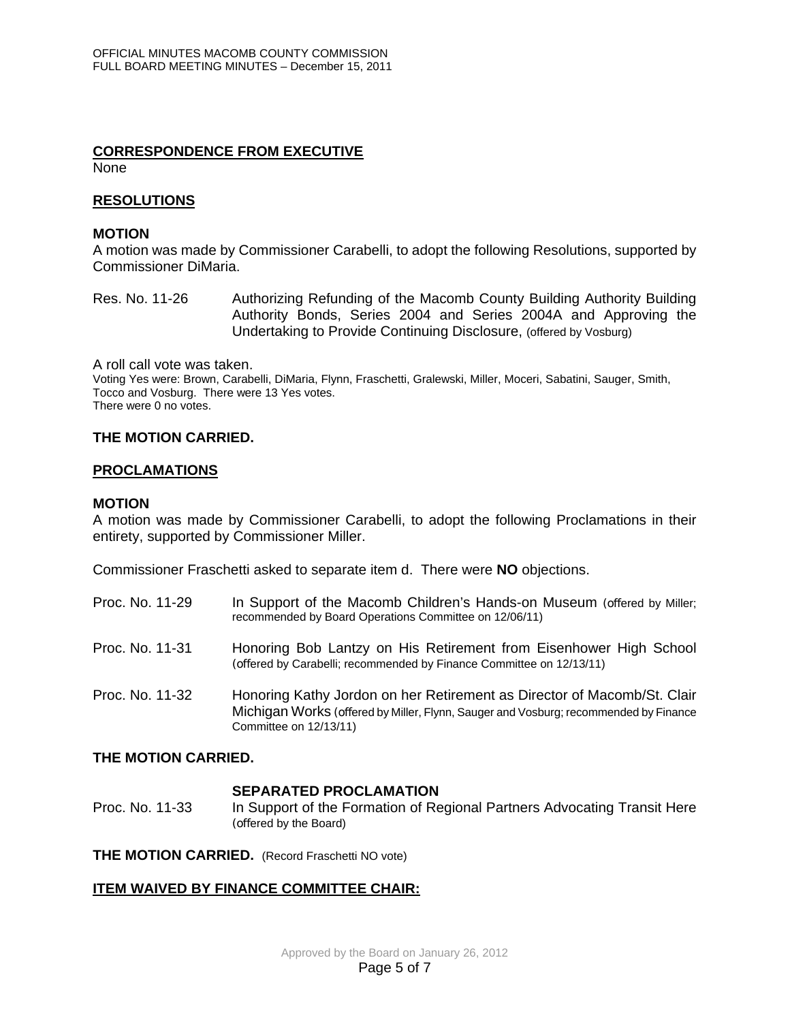#### **CORRESPONDENCE FROM EXECUTIVE None**

#### **RESOLUTIONS**

### **MOTION**

A motion was made by Commissioner Carabelli, to adopt the following Resolutions, supported by Commissioner DiMaria.

Res. No. 11-26 Authorizing Refunding of the Macomb County Building Authority Building Authority Bonds, Series 2004 and Series 2004A and Approving the Undertaking to Provide Continuing Disclosure, (offered by Vosburg)

A roll call vote was taken. Voting Yes were: Brown, Carabelli, DiMaria, Flynn, Fraschetti, Gralewski, Miller, Moceri, Sabatini, Sauger, Smith, Tocco and Vosburg. There were 13 Yes votes. There were 0 no votes.

#### **THE MOTION CARRIED.**

#### **PROCLAMATIONS**

#### **MOTION**

A motion was made by Commissioner Carabelli, to adopt the following Proclamations in their entirety, supported by Commissioner Miller.

Commissioner Fraschetti asked to separate item d. There were **NO** objections.

| Proc. No. 11-29 | In Support of the Macomb Children's Hands-on Museum (offered by Miller;<br>recommended by Board Operations Committee on 12/06/11)                                                         |
|-----------------|-------------------------------------------------------------------------------------------------------------------------------------------------------------------------------------------|
| Proc. No. 11-31 | Honoring Bob Lantzy on His Retirement from Eisenhower High School<br>(offered by Carabelli; recommended by Finance Committee on 12/13/11)                                                 |
| Proc. No. 11-32 | Honoring Kathy Jordon on her Retirement as Director of Macomb/St. Clair<br>Michigan Works (offered by Miller, Flynn, Sauger and Vosburg; recommended by Finance<br>Committee on 12/13/11) |

#### **THE MOTION CARRIED.**

#### **SEPARATED PROCLAMATION**

Proc. No. 11-33 In Support of the Formation of Regional Partners Advocating Transit Here (offered by the Board)

**THE MOTION CARRIED.** (Record Fraschetti NO vote)

## **ITEM WAIVED BY FINANCE COMMITTEE CHAIR:**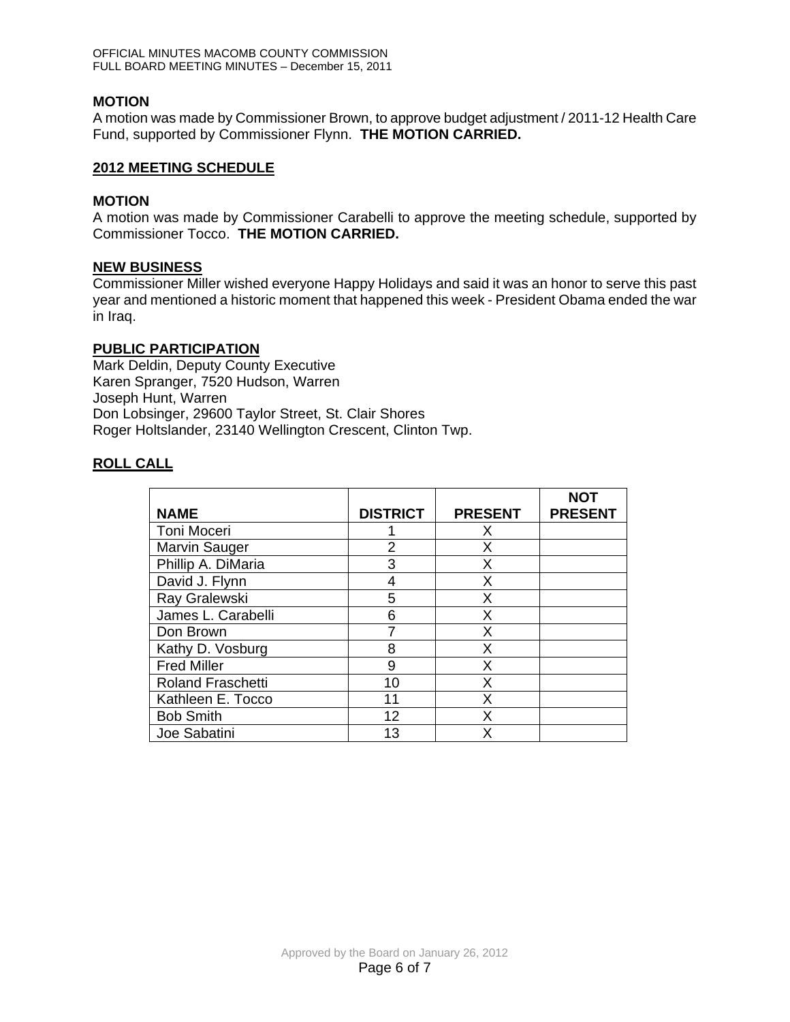## **MOTION**

A motion was made by Commissioner Brown, to approve budget adjustment / 2011-12 Health Care Fund, supported by Commissioner Flynn. **THE MOTION CARRIED.** 

#### **2012 MEETING SCHEDULE**

#### **MOTION**

A motion was made by Commissioner Carabelli to approve the meeting schedule, supported by Commissioner Tocco. **THE MOTION CARRIED.** 

#### **NEW BUSINESS**

Commissioner Miller wished everyone Happy Holidays and said it was an honor to serve this past year and mentioned a historic moment that happened this week - President Obama ended the war in Iraq.

#### **PUBLIC PARTICIPATION**

Mark Deldin, Deputy County Executive Karen Spranger, 7520 Hudson, Warren Joseph Hunt, Warren Don Lobsinger, 29600 Taylor Street, St. Clair Shores Roger Holtslander, 23140 Wellington Crescent, Clinton Twp.

## **ROLL CALL**

|                          |                 |                | <b>NOT</b>     |
|--------------------------|-----------------|----------------|----------------|
| <b>NAME</b>              | <b>DISTRICT</b> | <b>PRESENT</b> | <b>PRESENT</b> |
| Toni Moceri              |                 | X              |                |
| Marvin Sauger            | $\overline{2}$  | Χ              |                |
| Phillip A. DiMaria       | 3               | X              |                |
| David J. Flynn           | 4               | Χ              |                |
| Ray Gralewski            | 5               | Χ              |                |
| James L. Carabelli       | 6               | Χ              |                |
| Don Brown                | 7               | X              |                |
| Kathy D. Vosburg         | 8               | Χ              |                |
| <b>Fred Miller</b>       | 9               | X              |                |
| <b>Roland Fraschetti</b> | 10              | Χ              |                |
| Kathleen E. Tocco        | 11              | Χ              |                |
| <b>Bob Smith</b>         | 12              | X              |                |
| Joe Sabatini             | 13              | χ              |                |